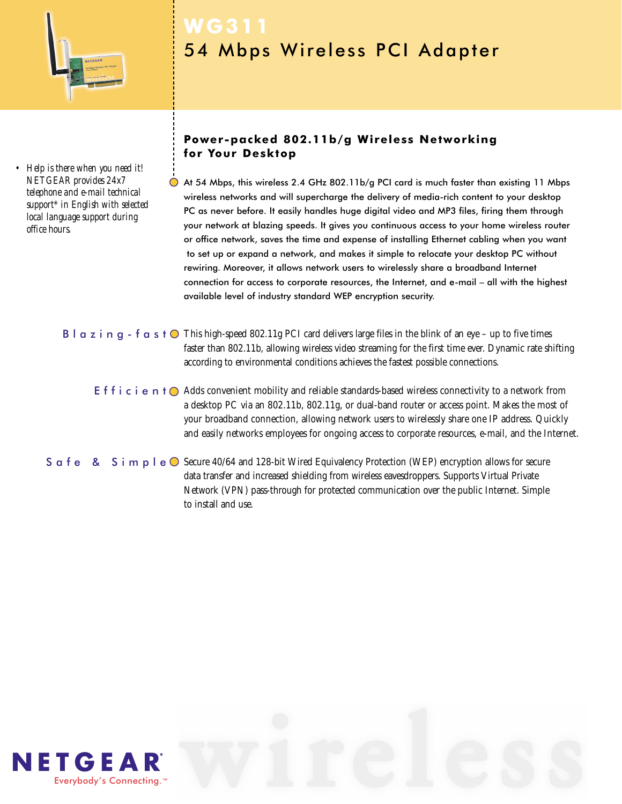

*• Help is there when you need it! NETGEAR provides 24x7 telephone and e-mail technical support\* in English with selected local language support during office hours.*

# **WG311** 54 Mbps Wireless PCI Adapter

### **Power-packed 802.11b/g Wireless Networking for Your Desktop**

At 54 Mbps, this wireless 2.4 GHz 802.11b/g PCI card is much faster than existing 11 Mbps wireless networks and will supercharge the delivery of media-rich content to your desktop PC as never before. It easily handles huge digital video and MP3 files, firing them through your network at blazing speeds. It gives you continuous access to your home wireless router or office network, saves the time and expense of installing Ethernet cabling when you want to set up or expand a network, and makes it simple to relocate your desktop PC without rewiring. Moreover, it allows network users to wirelessly share a broadband Internet connection for access to corporate resources, the Internet, and e-mail – all with the highest available level of industry standard WEP encryption security.

### **B** l  $\alpha$  z i  $\alpha$  g - f  $\alpha$  s t  $\odot$  This high-speed 802.11g PCI card delivers large files in the blink of an eye – up to five times faster than 802.11b, allowing wireless video streaming for the first time ever. Dynamic rate shifting according to environmental conditions achieves the fastest possible connections.

E f f i c i e n t  $\bigcirc$  Adds convenient mobility and reliable standards-based wireless connectivity to a network from a desktop PC via an 802.11b, 802.11g, or dual-band router or access point. Makes the most of your broadband connection, allowing network users to wirelessly share one IP address. Quickly and easily networks employees for ongoing access to corporate resources, e-mail, and the Internet.

S  $\alpha$  f e  $\alpha$  S i m  $\beta$  l e  $\odot$  Secure 40/64 and 128-bit Wired Equivalency Protection (WEP) encryption allows for secure data transfer and increased shielding from wireless eavesdroppers. Supports Virtual Private Network (VPN) pass-through for protected communication over the public Internet. Simple to install and use.